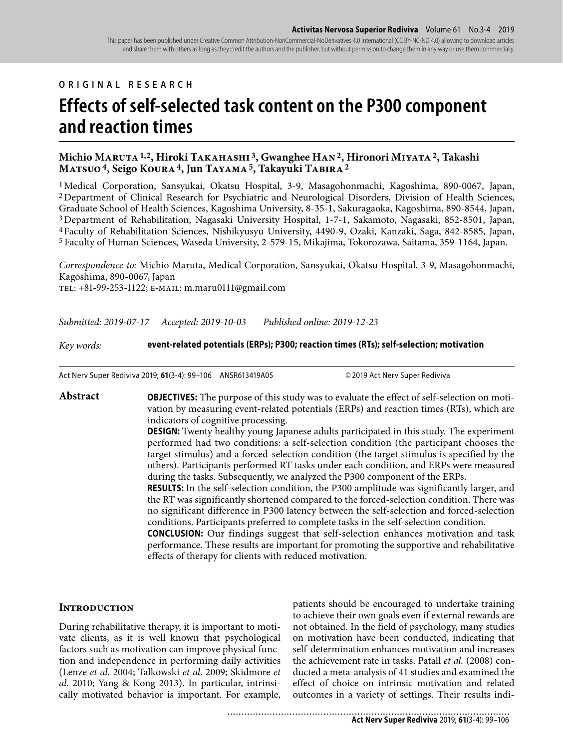#### **ORIGINAL RESEARCH**

# **Effects of self-selected task content on the P300 component and reaction times**

## **Michio Maruta 1,2, Hiroki Takahashi 3, Gwanghee Han 2, Hironori Miyata 2, Takashi Matsuo 4, Seigo Koura 4, Jun Tayama 5, Takayuki Tabira 2**

1 Medical Corporation, Sansyukai, Okatsu Hospital, 3-9, Masagohonmachi, Kagoshima, 890-0067, Japan, 2 Department of Clinical Research for Psychiatric and Neurological Disorders, Division of Health Sciences, Graduate School of Health Sciences, Kagoshima University, 8-35-1, Sakuragaoka, Kagoshima, 890-8544, Japan, 3 Department of Rehabilitation, Nagasaki University Hospital, 1-7-1, Sakamoto, Nagasaki, 852-8501, Japan, 4 Faculty of Rehabilitation Sciences, Nishikyusyu University, 4490-9, Ozaki, Kanzaki, Saga, 842-8585, Japan, 5 Faculty of Human Sciences, Waseda University, 2-579-15, Mikajima, Tokorozawa, Saitama, 359-1164, Japan.

*Correspondence to:* Michio Maruta, Medical Corporation, Sansyukai, Okatsu Hospital, 3-9, Masagohonmachi, Kagoshima, 890-0067, Japan tel: +81-99-253-1122; e-mail: m.maru0111@gmail.com

*Submitted: 2019-07-17 Accepted: 2019-10-03 Published online: 2019-12-23*

*Key words:* **event-related potentials (ERPs); P300; reaction times (RTs); self-selection; motivation**

Act Nerv Super Rediviva 2019; **61**(3-4): 99–106 ANSR613419A05 © 2019 Act Nerv Super Rediviva

**Abstract OBJECTIVES:** The purpose of this study was to evaluate the effect of self-selection on motivation by measuring event-related potentials (ERPs) and reaction times (RTs), which are indicators of cognitive processing.

> **DESIGN:** Twenty healthy young Japanese adults participated in this study. The experiment performed had two conditions: a self-selection condition (the participant chooses the target stimulus) and a forced-selection condition (the target stimulus is specified by the others). Participants performed RT tasks under each condition, and ERPs were measured during the tasks. Subsequently, we analyzed the P300 component of the ERPs.

> **RESULTS:** In the self-selection condition, the P300 amplitude was significantly larger, and the RT was significantly shortened compared to the forced-selection condition. There was no significant difference in P300 latency between the self-selection and forced-selection conditions. Participants preferred to complete tasks in the self-selection condition.

> **CONCLUSION:** Our findings suggest that self-selection enhances motivation and task performance. These results are important for promoting the supportive and rehabilitative effects of therapy for clients with reduced motivation.

#### **Introduction**

During rehabilitative therapy, it is important to motivate clients, as it is well known that psychological factors such as motivation can improve physical function and independence in performing daily activities (Lenze *et al.* 2004; Talkowski *et al*. 2009; Skidmore *et al.* 2010; Yang & Kong 2013). In particular, intrinsically motivated behavior is important. For example, patients should be encouraged to undertake training to achieve their own goals even if external rewards are not obtained. In the field of psychology, many studies on motivation have been conducted, indicating that self-determination enhances motivation and increases the achievement rate in tasks. Patall *et al.* (2008) conducted a meta-analysis of 41 studies and examined the effect of choice on intrinsic motivation and related outcomes in a variety of settings. Their results indi-

**Act Nerv Super Rediviva** 2019; **61**(3-4): 99–106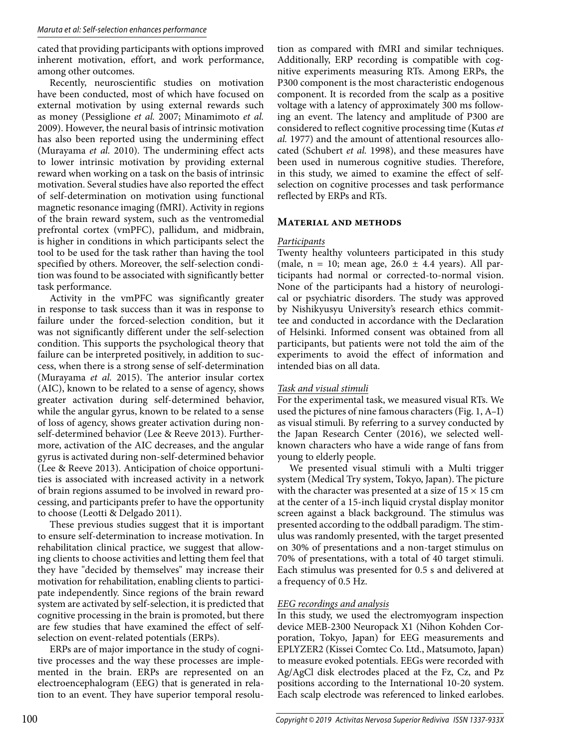cated that providing participants with options improved inherent motivation, effort, and work performance, among other outcomes.

Recently, neuroscientific studies on motivation have been conducted, most of which have focused on external motivation by using external rewards such as money (Pessiglione *et al.* 2007; Minamimoto *et al.* 2009). However, the neural basis of intrinsic motivation has also been reported using the undermining effect (Murayama *et al.* 2010). The undermining effect acts to lower intrinsic motivation by providing external reward when working on a task on the basis of intrinsic motivation. Several studies have also reported the effect of self-determination on motivation using functional magnetic resonance imaging (fMRI). Activity in regions of the brain reward system, such as the ventromedial prefrontal cortex (vmPFC), pallidum, and midbrain, is higher in conditions in which participants select the tool to be used for the task rather than having the tool specified by others. Moreover, the self-selection condition was found to be associated with significantly better task performance.

Activity in the vmPFC was significantly greater in response to task success than it was in response to failure under the forced-selection condition, but it was not significantly different under the self-selection condition. This supports the psychological theory that failure can be interpreted positively, in addition to success, when there is a strong sense of self-determination (Murayama *et al.* 2015). The anterior insular cortex (AIC), known to be related to a sense of agency, shows greater activation during self-determined behavior, while the angular gyrus, known to be related to a sense of loss of agency, shows greater activation during nonself-determined behavior (Lee & Reeve 2013). Furthermore, activation of the AIC decreases, and the angular gyrus is activated during non-self-determined behavior (Lee & Reeve 2013). Anticipation of choice opportunities is associated with increased activity in a network of brain regions assumed to be involved in reward processing, and participants prefer to have the opportunity to choose (Leotti & Delgado 2011).

These previous studies suggest that it is important to ensure self-determination to increase motivation. In rehabilitation clinical practice, we suggest that allowing clients to choose activities and letting them feel that they have "decided by themselves" may increase their motivation for rehabilitation, enabling clients to participate independently. Since regions of the brain reward system are activated by self-selection, it is predicted that cognitive processing in the brain is promoted, but there are few studies that have examined the effect of selfselection on event-related potentials (ERPs).

ERPs are of major importance in the study of cognitive processes and the way these processes are implemented in the brain. ERPs are represented on an electroencephalogram (EEG) that is generated in relation to an event. They have superior temporal resolution as compared with fMRI and similar techniques. Additionally, ERP recording is compatible with cognitive experiments measuring RTs. Among ERPs, the P300 component is the most characteristic endogenous component. It is recorded from the scalp as a positive voltage with a latency of approximately 300 ms following an event. The latency and amplitude of P300 are considered to reflect cognitive processing time (Kutas *et al.* 1977) and the amount of attentional resources allocated (Schubert *et al.* 1998), and these measures have been used in numerous cognitive studies. Therefore, in this study, we aimed to examine the effect of selfselection on cognitive processes and task performance reflected by ERPs and RTs.

## **Material and methods**

## *Participants*

Twenty healthy volunteers participated in this study (male,  $n = 10$ ; mean age,  $26.0 \pm 4.4$  years). All participants had normal or corrected-to-normal vision. None of the participants had a history of neurological or psychiatric disorders. The study was approved by Nishikyusyu University's research ethics committee and conducted in accordance with the Declaration of Helsinki. Informed consent was obtained from all participants, but patients were not told the aim of the experiments to avoid the effect of information and intended bias on all data.

## *Task and visual stimuli*

For the experimental task, we measured visual RTs. We used the pictures of nine famous characters (Fig. 1, A–I) as visual stimuli. By referring to a survey conducted by the Japan Research Center (2016), we selected wellknown characters who have a wide range of fans from young to elderly people.

We presented visual stimuli with a Multi trigger system (Medical Try system, Tokyo, Japan). The picture with the character was presented at a size of  $15 \times 15$  cm at the center of a 15-inch liquid crystal display monitor screen against a black background. The stimulus was presented according to the oddball paradigm. The stimulus was randomly presented, with the target presented on 30% of presentations and a non-target stimulus on 70% of presentations, with a total of 40 target stimuli. Each stimulus was presented for 0.5 s and delivered at a frequency of 0.5 Hz.

# *EEG recordings and analysis*

In this study, we used the electromyogram inspection device MEB-2300 Neuropack X1 (Nihon Kohden Corporation, Tokyo, Japan) for EEG measurements and EPLYZER2 (Kissei Comtec Co. Ltd., Matsumoto, Japan) to measure evoked potentials. EEGs were recorded with Ag/AgCl disk electrodes placed at the Fz, Cz, and Pz positions according to the International 10-20 system. Each scalp electrode was referenced to linked earlobes.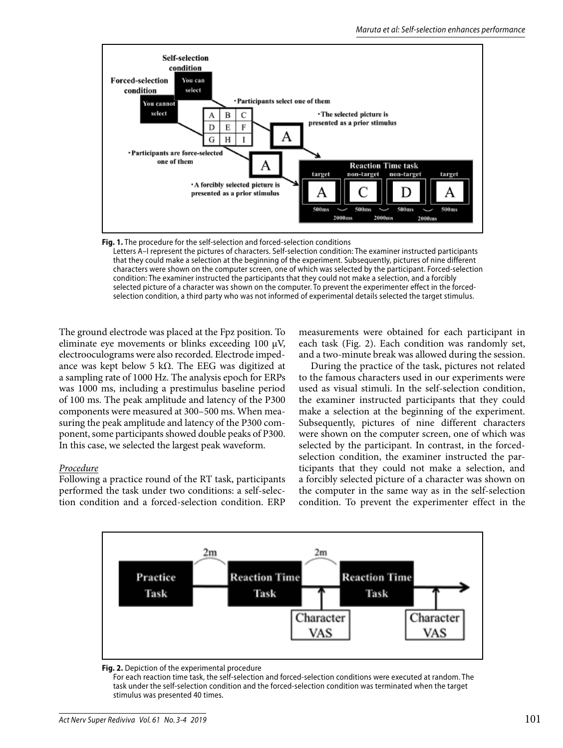

**Fig. 1.** The procedure for the self-selection and forced-selection conditions Letters A–I represent the pictures of characters. Self-selection condition: The examiner instructed participants that they could make a selection at the beginning of the experiment. Subsequently, pictures of nine different characters were shown on the computer screen, one of which was selected by the participant. Forced-selection condition: The examiner instructed the participants that they could not make a selection, and a forcibly selected picture of a character was shown on the computer. To prevent the experimenter effect in the forcedselection condition, a third party who was not informed of experimental details selected the target stimulus.

The ground electrode was placed at the Fpz position. To eliminate eye movements or blinks exceeding 100 μV, electrooculograms were also recorded. Electrode impedance was kept below 5 kΩ. The EEG was digitized at a sampling rate of 1000 Hz. The analysis epoch for ERPs was 1000 ms, including a prestimulus baseline period of 100 ms. The peak amplitude and latency of the P300 components were measured at 300–500 ms. When measuring the peak amplitude and latency of the P300 component, some participants showed double peaks of P300. In this case, we selected the largest peak waveform.

#### *Procedure*

Following a practice round of the RT task, participants performed the task under two conditions: a self-selection condition and a forced-selection condition. ERP measurements were obtained for each participant in each task (Fig. 2). Each condition was randomly set, and a two-minute break was allowed during the session.

During the practice of the task, pictures not related to the famous characters used in our experiments were used as visual stimuli. In the self-selection condition, the examiner instructed participants that they could make a selection at the beginning of the experiment. Subsequently, pictures of nine different characters were shown on the computer screen, one of which was selected by the participant. In contrast, in the forcedselection condition, the examiner instructed the participants that they could not make a selection, and a forcibly selected picture of a character was shown on the computer in the same way as in the self-selection condition. To prevent the experimenter effect in the





 For each reaction time task, the self-selection and forced-selection conditions were executed at random. The task under the self-selection condition and the forced-selection condition was terminated when the target stimulus was presented 40 times.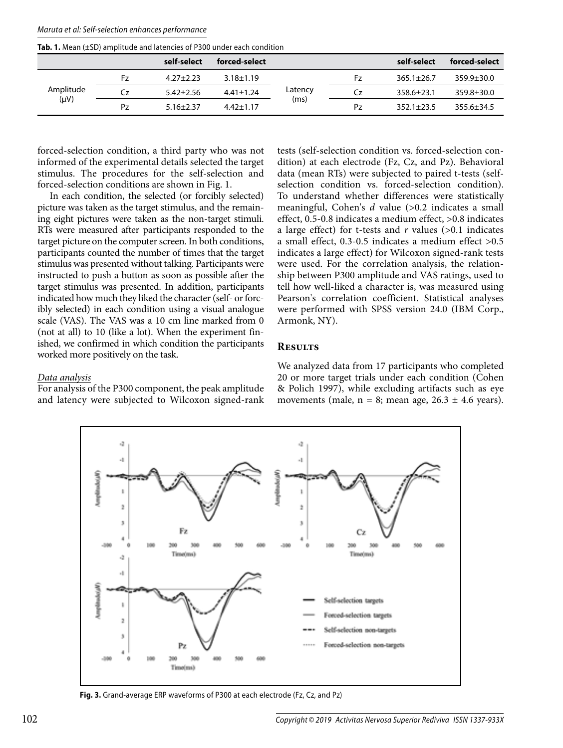| Maruta et al: Self-selection enhances performance |  |
|---------------------------------------------------|--|
|---------------------------------------------------|--|

**Tab. 1.** Mean (±SD) amplitude and latencies of P300 under each condition

|                        |    | self-select     | forced-select   |                 |    | self-select      | forced-select    |
|------------------------|----|-----------------|-----------------|-----------------|----|------------------|------------------|
| Amplitude<br>$(\mu V)$ | Fz | $4.27 + 2.23$   | $3.18 \pm 1.19$ | Latency<br>(ms) | Ͱz | $365.1 + 26.7$   | $359.9 \pm 30.0$ |
|                        | Cz | $5.42 \pm 2.56$ | $4.41 \pm 1.24$ |                 | Cz | $358.6 \pm 23.1$ | $359.8 \pm 30.0$ |
|                        | Pz | $5.16 \pm 2.37$ | $4.42 \pm 1.17$ |                 | Pz | $352.1 \pm 23.5$ | $355.6 \pm 34.5$ |

forced-selection condition, a third party who was not informed of the experimental details selected the target stimulus. The procedures for the self-selection and forced-selection conditions are shown in Fig. 1.

In each condition, the selected (or forcibly selected) picture was taken as the target stimulus, and the remaining eight pictures were taken as the non-target stimuli. RTs were measured after participants responded to the target picture on the computer screen. In both conditions, participants counted the number of times that the target stimulus was presented without talking. Participants were instructed to push a button as soon as possible after the target stimulus was presented. In addition, participants indicated how much they liked the character (self- or forcibly selected) in each condition using a visual analogue scale (VAS). The VAS was a 10 cm line marked from 0 (not at all) to 10 (like a lot). When the experiment finished, we confirmed in which condition the participants worked more positively on the task.

tests (self-selection condition vs. forced-selection condition) at each electrode (Fz, Cz, and Pz). Behavioral data (mean RTs) were subjected to paired t-tests (selfselection condition vs. forced-selection condition). To understand whether differences were statistically meaningful, Cohen's *d* value (>0.2 indicates a small effect, 0.5-0.8 indicates a medium effect, >0.8 indicates a large effect) for t-tests and  $r$  values ( $>0.1$  indicates a small effect, 0.3-0.5 indicates a medium effect >0.5 indicates a large effect) for Wilcoxon signed-rank tests were used. For the correlation analysis, the relationship between P300 amplitude and VAS ratings, used to tell how well-liked a character is, was measured using Pearson's correlation coefficient. Statistical analyses were performed with SPSS version 24.0 (IBM Corp., Armonk, NY).

#### **Results**

*Data analysis*

For analysis of the P300 component, the peak amplitude and latency were subjected to Wilcoxon signed-rank We analyzed data from 17 participants who completed 20 or more target trials under each condition (Cohen & Polich 1997), while excluding artifacts such as eye movements (male,  $n = 8$ ; mean age,  $26.3 \pm 4.6$  years).



**Fig. 3.** Grand-average ERP waveforms of P300 at each electrode (Fz, Cz, and Pz)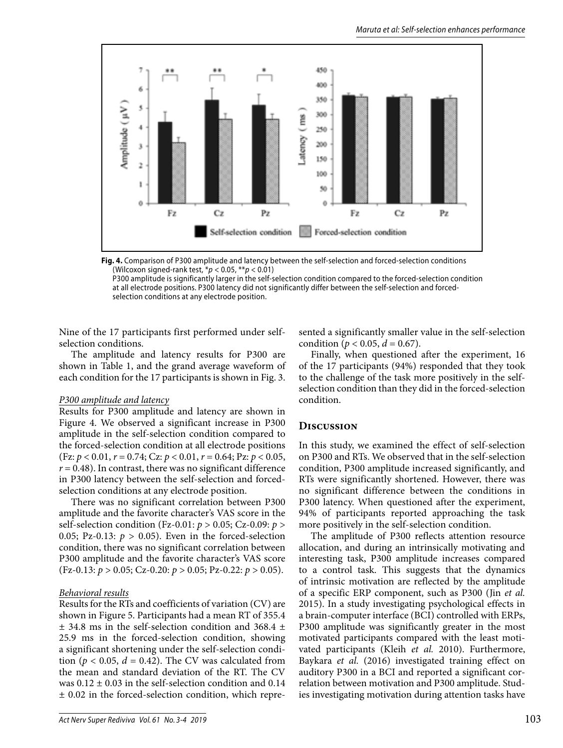

**Fig. 4.** Comparison of P300 amplitude and latency between the self-selection and forced-selection conditions (Wilcoxon signed-rank test,  $*p < 0.05$ ,  $**p < 0.01$ )

 P300 amplitude is significantly larger in the self-selection condition compared to the forced-selection condition at all electrode positions. P300 latency did not significantly differ between the self-selection and forcedselection conditions at any electrode position.

Nine of the 17 participants first performed under selfselection conditions.

The amplitude and latency results for P300 are shown in Table 1, and the grand average waveform of each condition for the 17 participants is shown in Fig. 3.

#### *P300 amplitude and latency*

Results for P300 amplitude and latency are shown in Figure 4. We observed a significant increase in P300 amplitude in the self-selection condition compared to the forced-selection condition at all electrode positions (Fz: *p* < 0.01, *r* = 0.74; Cz: *p* < 0.01, *r* = 0.64; Pz: *p* < 0.05,  $r = 0.48$ ). In contrast, there was no significant difference in P300 latency between the self-selection and forcedselection conditions at any electrode position.

There was no significant correlation between P300 amplitude and the favorite character's VAS score in the self-selection condition (Fz-0.01: *p* > 0.05; Cz-0.09: *p* > 0.05; Pz-0.13:  $p > 0.05$ ). Even in the forced-selection condition, there was no significant correlation between P300 amplitude and the favorite character's VAS score (Fz-0.13: *p* > 0.05; Cz-0.20: *p* > 0.05; Pz-0.22: *p* > 0.05).

#### *Behavioral results*

Results for the RTs and coefficients of variation (CV) are shown in Figure 5. Participants had a mean RT of 355.4 ± 34.8 ms in the self-selection condition and 368.4 ± 25.9 ms in the forced-selection condition, showing a significant shortening under the self-selection condition ( $p < 0.05$ ,  $d = 0.42$ ). The CV was calculated from the mean and standard deviation of the RT. The CV was  $0.12 \pm 0.03$  in the self-selection condition and  $0.14$ ± 0.02 in the forced-selection condition, which represented a significantly smaller value in the self-selection condition ( $p < 0.05$ ,  $d = 0.67$ ).

Finally, when questioned after the experiment, 16 of the 17 participants (94%) responded that they took to the challenge of the task more positively in the selfselection condition than they did in the forced-selection condition.

## **Discussion**

In this study, we examined the effect of self-selection on P300 and RTs. We observed that in the self-selection condition, P300 amplitude increased significantly, and RTs were significantly shortened. However, there was no significant difference between the conditions in P300 latency. When questioned after the experiment, 94% of participants reported approaching the task more positively in the self-selection condition.

The amplitude of P300 reflects attention resource allocation, and during an intrinsically motivating and interesting task, P300 amplitude increases compared to a control task. This suggests that the dynamics of intrinsic motivation are reflected by the amplitude of a specific ERP component, such as P300 (Jin *et al.* 2015). In a study investigating psychological effects in a brain-computer interface (BCI) controlled with ERPs, P300 amplitude was significantly greater in the most motivated participants compared with the least motivated participants (Kleih *et al.* 2010). Furthermore, Baykara *et al.* (2016) investigated training effect on auditory P300 in a BCI and reported a significant correlation between motivation and P300 amplitude. Studies investigating motivation during attention tasks have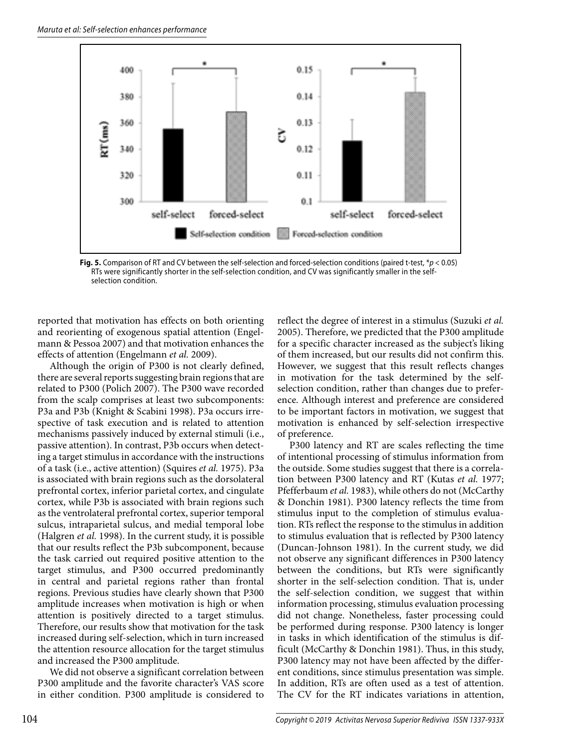

**Fig. 5.** Comparison of RT and CV between the self-selection and forced-selection conditions (paired t-test, \*p < 0.05) RTs were significantly shorter in the self-selection condition, and CV was significantly smaller in the selfselection condition.

reported that motivation has effects on both orienting and reorienting of exogenous spatial attention (Engelmann & Pessoa 2007) and that motivation enhances the effects of attention (Engelmann *et al.* 2009).

Although the origin of P300 is not clearly defined, there are several reports suggesting brain regions that are related to P300 (Polich 2007). The P300 wave recorded from the scalp comprises at least two subcomponents: P3a and P3b (Knight & Scabini 1998). P3a occurs irrespective of task execution and is related to attention mechanisms passively induced by external stimuli (i.e., passive attention). In contrast, P3b occurs when detecting a target stimulus in accordance with the instructions of a task (i.e., active attention) (Squires *et al.* 1975). P3a is associated with brain regions such as the dorsolateral prefrontal cortex, inferior parietal cortex, and cingulate cortex, while P3b is associated with brain regions such as the ventrolateral prefrontal cortex, superior temporal sulcus, intraparietal sulcus, and medial temporal lobe (Halgren *et al.* 1998). In the current study, it is possible that our results reflect the P3b subcomponent, because the task carried out required positive attention to the target stimulus, and P300 occurred predominantly in central and parietal regions rather than frontal regions. Previous studies have clearly shown that P300 amplitude increases when motivation is high or when attention is positively directed to a target stimulus. Therefore, our results show that motivation for the task increased during self-selection, which in turn increased the attention resource allocation for the target stimulus and increased the P300 amplitude.

We did not observe a significant correlation between P300 amplitude and the favorite character's VAS score in either condition. P300 amplitude is considered to reflect the degree of interest in a stimulus (Suzuki *et al.* 2005). Therefore, we predicted that the P300 amplitude for a specific character increased as the subject's liking of them increased, but our results did not confirm this. However, we suggest that this result reflects changes in motivation for the task determined by the selfselection condition, rather than changes due to preference. Although interest and preference are considered to be important factors in motivation, we suggest that motivation is enhanced by self-selection irrespective of preference.

P300 latency and RT are scales reflecting the time of intentional processing of stimulus information from the outside. Some studies suggest that there is a correlation between P300 latency and RT (Kutas *et al.* 1977; Pfefferbaum *et al.* 1983), while others do not (McCarthy & Donchin 1981). P300 latency reflects the time from stimulus input to the completion of stimulus evaluation. RTs reflect the response to the stimulus in addition to stimulus evaluation that is reflected by P300 latency (Duncan-Johnson 1981). In the current study, we did not observe any significant differences in P300 latency between the conditions, but RTs were significantly shorter in the self-selection condition. That is, under the self-selection condition, we suggest that within information processing, stimulus evaluation processing did not change. Nonetheless, faster processing could be performed during response. P300 latency is longer in tasks in which identification of the stimulus is difficult (McCarthy & Donchin 1981). Thus, in this study, P300 latency may not have been affected by the different conditions, since stimulus presentation was simple. In addition, RTs are often used as a test of attention. The CV for the RT indicates variations in attention,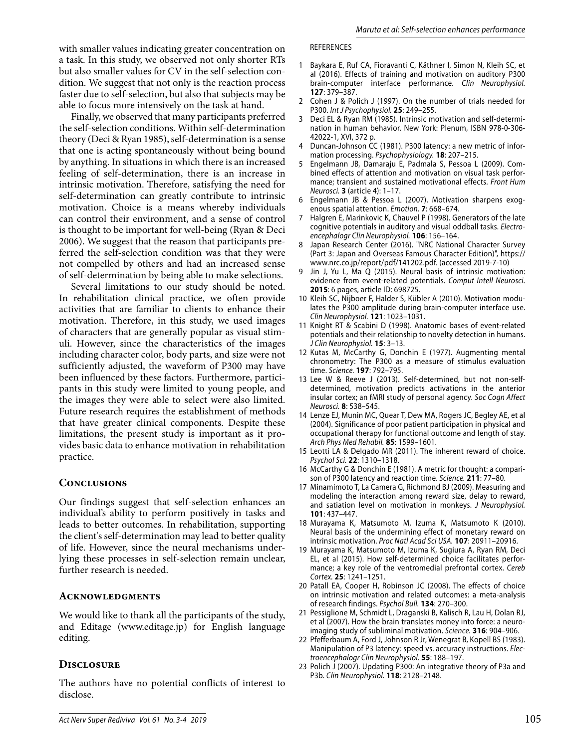with smaller values indicating greater concentration on a task. In this study, we observed not only shorter RTs but also smaller values for CV in the self-selection condition. We suggest that not only is the reaction process faster due to self-selection, but also that subjects may be able to focus more intensively on the task at hand.

Finally, we observed that many participants preferred the self-selection conditions. Within self-determination theory (Deci & Ryan 1985), self-determination is a sense that one is acting spontaneously without being bound by anything. In situations in which there is an increased feeling of self-determination, there is an increase in intrinsic motivation. Therefore, satisfying the need for self-determination can greatly contribute to intrinsic motivation. Choice is a means whereby individuals can control their environment, and a sense of control is thought to be important for well-being (Ryan & Deci 2006). We suggest that the reason that participants preferred the self-selection condition was that they were not compelled by others and had an increased sense of self-determination by being able to make selections.

Several limitations to our study should be noted. In rehabilitation clinical practice, we often provide activities that are familiar to clients to enhance their motivation. Therefore, in this study, we used images of characters that are generally popular as visual stimuli. However, since the characteristics of the images including character color, body parts, and size were not sufficiently adjusted, the waveform of P300 may have been influenced by these factors. Furthermore, participants in this study were limited to young people, and the images they were able to select were also limited. Future research requires the establishment of methods that have greater clinical components. Despite these limitations, the present study is important as it provides basic data to enhance motivation in rehabilitation practice.

## **Conclusions**

Our findings suggest that self-selection enhances an individual's ability to perform positively in tasks and leads to better outcomes. In rehabilitation, supporting the client's self-determination may lead to better quality of life. However, since the neural mechanisms underlying these processes in self-selection remain unclear, further research is needed.

#### **Acknowledgments**

We would like to thank all the participants of the study, and Editage (www.editage.jp) for English language editing.

## **Disclosure**

The authors have no potential conflicts of interest to disclose.

#### REFERENCES

- 1 Baykara E, Ruf CA, Fioravanti C, Käthner I, Simon N, Kleih SC, et al (2016). Effects of training and motivation on auditory P300 brain-computer interface performance. Clin Neurophysiol. **127**: 379–387.
- 2 Cohen J & Polich J (1997). On the number of trials needed for P300. Int J Psychophysiol. **25**: 249–255.
- 3 Deci EL & Ryan RM (1985). Intrinsic motivation and self-determination in human behavior. New York: Plenum, ISBN 978-0-306- 42022-1, XVI, 372 p.
- 4 Duncan-Johnson CC (1981). P300 latency: a new metric of information processing. Psychophysiology. **18**: 207–215.
- 5 Engelmann JB, Damaraju E, Padmala S, Pessoa L (2009). Combined effects of attention and motivation on visual task performance; transient and sustained motivational effects. Front Hum Neurosci. **3** (article 4): 1–17.
- Engelmann JB & Pessoa L (2007). Motivation sharpens exogenous spatial attention. Emotion. **7**: 668–674.
- 7 Halgren E, Marinkovic K, Chauvel P (1998). Generators of the late cognitive potentials in auditory and visual oddball tasks. Electroencephalogr Clin Neurophysiol. **106**: 156–164.
- 8 Japan Research Center (2016). "NRC National Character Survey (Part 3: Japan and Overseas Famous Character Edition)", https:// www.nrc.co.jp/report/pdf/141202.pdf. (accessed 2019-7-10)
- 9 Jin J, Yu L, Ma Q (2015). Neural basis of intrinsic motivation: evidence from event-related potentials. Comput Intell Neurosci. **2015**: 6 pages, article ID: 698725.
- 10 Kleih SC, Nijboer F, Halder S, Kübler A (2010). Motivation modulates the P300 amplitude during brain-computer interface use. Clin Neurophysiol. **121**: 1023–1031.
- 11 Knight RT & Scabini D (1998). Anatomic bases of event-related potentials and their relationship to novelty detection in humans. J Clin Neurophysiol. **15**: 3–13.
- 12 Kutas M, McCarthy G, Donchin E (1977). Augmenting mental chronometry: The P300 as a measure of stimulus evaluation time. Science. **197**: 792–795.
- 13 Lee W & Reeve J (2013). Self-determined, but not non-selfdetermined, motivation predicts activations in the anterior insular cortex; an fMRI study of personal agency. Soc Cogn Affect Neurosci. **8**: 538–545.
- 14 Lenze EJ, Munin MC, Quear T, Dew MA, Rogers JC, Begley AE, et al (2004). Significance of poor patient participation in physical and occupational therapy for functional outcome and length of stay. Arch Phys Med Rehabil. **85**: 1599–1601.
- 15 Leotti LA & Delgado MR (2011). The inherent reward of choice. Psychol Sci. **22**: 1310–1318.
- 16 McCarthy G & Donchin E (1981). A metric for thought: a comparison of P300 latency and reaction time. Science. **211**: 77–80.
- 17 Minamimoto T, La Camera G, Richmond BJ (2009). Measuring and modeling the interaction among reward size, delay to reward, and satiation level on motivation in monkeys. J Neurophysiol. **101**: 437–447.
- 18 Murayama K, Matsumoto M, Izuma K, Matsumoto K (2010). Neural basis of the undermining effect of monetary reward on intrinsic motivation. Proc Natl Acad Sci USA. **107**: 20911–20916.
- 19 Murayama K, Matsumoto M, Izuma K, Sugiura A, Ryan RM, Deci EL, et al (2015). How self-determined choice facilitates performance; a key role of the ventromedial prefrontal cortex. Cereb Cortex. **25**: 1241–1251.
- 20 Patall EA, Cooper H, Robinson JC (2008). The effects of choice on intrinsic motivation and related outcomes: a meta-analysis of research findings. Psychol Bull. **134**: 270–300.
- 21 Pessiglione M, Schmidt L, Draganski B, Kalisch R, Lau H, Dolan RJ, et al (2007). How the brain translates money into force: a neuroimaging study of subliminal motivation. Science. **316**: 904–906.
- 22 Pfefferbaum A, Ford J, Johnson R Jr, Wenegrat B, Kopell BS (1983). Manipulation of P3 latency: speed vs. accuracy instructions. Electroencephalogr Clin Neurophysiol. **55**: 188–197.
- 23 Polich J (2007). Updating P300: An integrative theory of P3a and P3b. Clin Neurophysiol. **118**: 2128–2148.